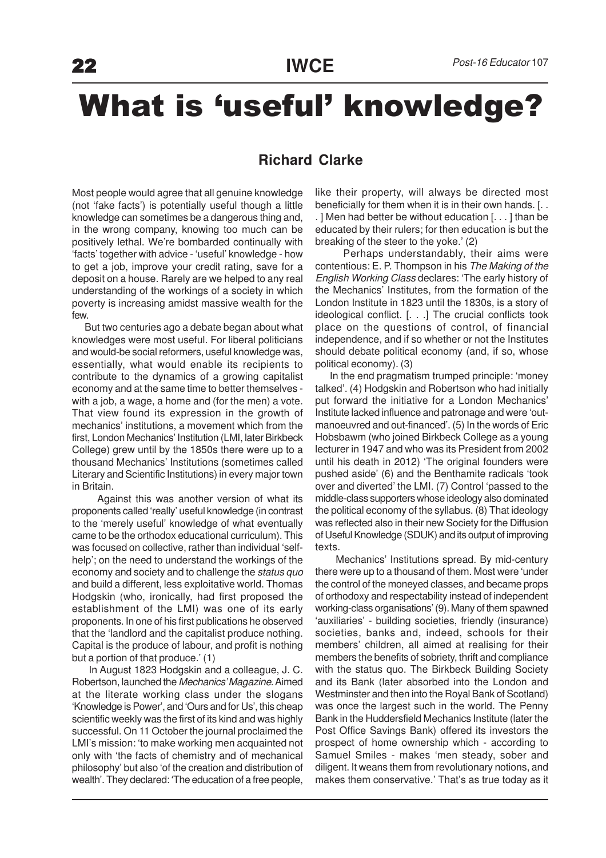## What is 'useful' knowledge?

## **Richard Clarke**

Most people would agree that all genuine knowledge (not 'fake facts') is potentially useful though a little knowledge can sometimes be a dangerous thing and, in the wrong company, knowing too much can be positively lethal. We're bombarded continually with 'facts' together with advice - 'useful' knowledge - how to get a job, improve your credit rating, save for a deposit on a house. Rarely are we helped to any real understanding of the workings of a society in which poverty is increasing amidst massive wealth for the few.

 But two centuries ago a debate began about what knowledges were most useful. For liberal politicians and would-be social reformers, useful knowledge was, essentially, what would enable its recipients to contribute to the dynamics of a growing capitalist economy and at the same time to better themselves with a job, a wage, a home and (for the men) a vote. That view found its expression in the growth of mechanics' institutions, a movement which from the first, London Mechanics' Institution (LMI, later Birkbeck College) grew until by the 1850s there were up to a thousand Mechanics' Institutions (sometimes called Literary and Scientific Institutions) in every major town in Britain.

 Against this was another version of what its proponents called 'really' useful knowledge (in contrast to the 'merely useful' knowledge of what eventually came to be the orthodox educational curriculum). This was focused on collective, rather than individual 'selfhelp'; on the need to understand the workings of the economy and society and to challenge the status quo and build a different, less exploitative world. Thomas Hodgskin (who, ironically, had first proposed the establishment of the LMI) was one of its early proponents. In one of his first publications he observed that the 'landlord and the capitalist produce nothing. Capital is the produce of labour, and profit is nothing but a portion of that produce.' (1)

 In August 1823 Hodgskin and a colleague, J. C. Robertson, launched the Mechanics' Magazine. Aimed at the literate working class under the slogans 'Knowledge is Power', and 'Ours and for Us', this cheap scientific weekly was the first of its kind and was highly successful. On 11 October the journal proclaimed the LMI's mission: 'to make working men acquainted not only with 'the facts of chemistry and of mechanical philosophy' but also 'of the creation and distribution of wealth'. They declared: 'The education of a free people,

like their property, will always be directed most beneficially for them when it is in their own hands. [. . . ] Men had better be without education [. . . ] than be educated by their rulers; for then education is but the breaking of the steer to the yoke.' (2)

 Perhaps understandably, their aims were contentious: E. P. Thompson in his The Making of the English Working Class declares: 'The early history of the Mechanics' Institutes, from the formation of the London Institute in 1823 until the 1830s, is a story of ideological conflict. [. . .] The crucial conflicts took place on the questions of control, of financial independence, and if so whether or not the Institutes should debate political economy (and, if so, whose political economy). (3)

 In the end pragmatism trumped principle: 'money talked'. (4) Hodgskin and Robertson who had initially put forward the initiative for a London Mechanics' Institute lacked influence and patronage and were 'outmanoeuvred and out-financed'. (5) In the words of Eric Hobsbawm (who joined Birkbeck College as a young lecturer in 1947 and who was its President from 2002 until his death in 2012) 'The original founders were pushed aside' (6) and the Benthamite radicals 'took over and diverted' the LMI. (7) Control 'passed to the middle-class supporters whose ideology also dominated the political economy of the syllabus. (8) That ideology was reflected also in their new Society for the Diffusion of Useful Knowledge (SDUK) and its output of improving texts.

 Mechanics' Institutions spread. By mid-century there were up to a thousand of them. Most were 'under the control of the moneyed classes, and became props of orthodoxy and respectability instead of independent working-class organisations' (9). Many of them spawned 'auxiliaries' - building societies, friendly (insurance) societies, banks and, indeed, schools for their members' children, all aimed at realising for their members the benefits of sobriety, thrift and compliance with the status quo. The Birkbeck Building Society and its Bank (later absorbed into the London and Westminster and then into the Royal Bank of Scotland) was once the largest such in the world. The Penny Bank in the Huddersfield Mechanics Institute (later the Post Office Savings Bank) offered its investors the prospect of home ownership which - according to Samuel Smiles - makes 'men steady, sober and diligent. It weans them from revolutionary notions, and makes them conservative.' That's as true today as it